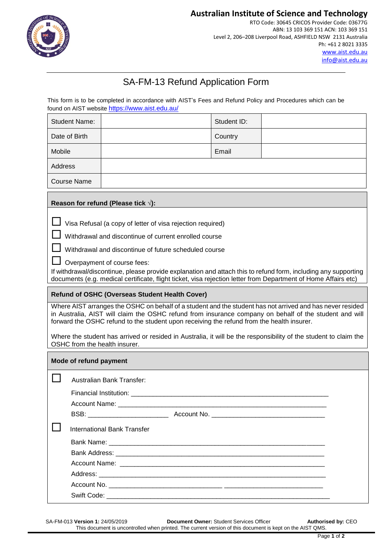

# **Australian Institute of Science and Technology**

RTO Code: 30645 CRICOS Provider Code: 03677G ABN: 13 103 369 151 ACN: 103 369 151 Level 2, 206–208 Liverpool Road, ASHFIELD NSW 2131 Australia Ph: +61 2 8021 3335 [www.aist.edu.au](http://www.aist.edu.au/)  [info@aist.edu.au](mailto:info@aist.edu.au)

# SA-FM-13 Refund Application Form

This form is to be completed in accordance with AIST's Fees and Refund Policy and Procedures which can be found on AIST website <https://www.aist.edu.au/>

| <b>Student Name:</b>                                                                                                                                                                                                                                                                                                                                                                                                                                                                                                                                                                                                                                                                                                                                                                                                                                                                                                                                                       |                                                 | Student ID: |  |  |  |
|----------------------------------------------------------------------------------------------------------------------------------------------------------------------------------------------------------------------------------------------------------------------------------------------------------------------------------------------------------------------------------------------------------------------------------------------------------------------------------------------------------------------------------------------------------------------------------------------------------------------------------------------------------------------------------------------------------------------------------------------------------------------------------------------------------------------------------------------------------------------------------------------------------------------------------------------------------------------------|-------------------------------------------------|-------------|--|--|--|
| Date of Birth                                                                                                                                                                                                                                                                                                                                                                                                                                                                                                                                                                                                                                                                                                                                                                                                                                                                                                                                                              |                                                 | Country     |  |  |  |
| Mobile                                                                                                                                                                                                                                                                                                                                                                                                                                                                                                                                                                                                                                                                                                                                                                                                                                                                                                                                                                     |                                                 | Email       |  |  |  |
| Address                                                                                                                                                                                                                                                                                                                                                                                                                                                                                                                                                                                                                                                                                                                                                                                                                                                                                                                                                                    |                                                 |             |  |  |  |
| Course Name                                                                                                                                                                                                                                                                                                                                                                                                                                                                                                                                                                                                                                                                                                                                                                                                                                                                                                                                                                |                                                 |             |  |  |  |
| Reason for refund (Please tick $\sqrt{ }$ ):                                                                                                                                                                                                                                                                                                                                                                                                                                                                                                                                                                                                                                                                                                                                                                                                                                                                                                                               |                                                 |             |  |  |  |
| Visa Refusal (a copy of letter of visa rejection required)<br>Withdrawal and discontinue of current enrolled course<br>Withdrawal and discontinue of future scheduled course<br>Overpayment of course fees:<br>If withdrawal/discontinue, please provide explanation and attach this to refund form, including any supporting<br>documents (e.g. medical certificate, flight ticket, visa rejection letter from Department of Home Affairs etc)<br>Refund of OSHC (Overseas Student Health Cover)<br>Where AIST arranges the OSHC on behalf of a student and the student has not arrived and has never resided<br>in Australia, AIST will claim the OSHC refund from insurance company on behalf of the student and will<br>forward the OSHC refund to the student upon receiving the refund from the health insurer.<br>Where the student has arrived or resided in Australia, it will be the responsibility of the student to claim the<br>OSHC from the health insurer. |                                                 |             |  |  |  |
| Mode of refund payment                                                                                                                                                                                                                                                                                                                                                                                                                                                                                                                                                                                                                                                                                                                                                                                                                                                                                                                                                     |                                                 |             |  |  |  |
|                                                                                                                                                                                                                                                                                                                                                                                                                                                                                                                                                                                                                                                                                                                                                                                                                                                                                                                                                                            | <b>Australian Bank Transfer:</b>                |             |  |  |  |
| Financial Institution: ________                                                                                                                                                                                                                                                                                                                                                                                                                                                                                                                                                                                                                                                                                                                                                                                                                                                                                                                                            |                                                 |             |  |  |  |
|                                                                                                                                                                                                                                                                                                                                                                                                                                                                                                                                                                                                                                                                                                                                                                                                                                                                                                                                                                            | Account Name:<br>BSB: _________________________ |             |  |  |  |
|                                                                                                                                                                                                                                                                                                                                                                                                                                                                                                                                                                                                                                                                                                                                                                                                                                                                                                                                                                            | <b>International Bank Transfer</b>              |             |  |  |  |
|                                                                                                                                                                                                                                                                                                                                                                                                                                                                                                                                                                                                                                                                                                                                                                                                                                                                                                                                                                            |                                                 |             |  |  |  |
|                                                                                                                                                                                                                                                                                                                                                                                                                                                                                                                                                                                                                                                                                                                                                                                                                                                                                                                                                                            |                                                 |             |  |  |  |
|                                                                                                                                                                                                                                                                                                                                                                                                                                                                                                                                                                                                                                                                                                                                                                                                                                                                                                                                                                            |                                                 |             |  |  |  |
|                                                                                                                                                                                                                                                                                                                                                                                                                                                                                                                                                                                                                                                                                                                                                                                                                                                                                                                                                                            |                                                 |             |  |  |  |
|                                                                                                                                                                                                                                                                                                                                                                                                                                                                                                                                                                                                                                                                                                                                                                                                                                                                                                                                                                            |                                                 |             |  |  |  |
|                                                                                                                                                                                                                                                                                                                                                                                                                                                                                                                                                                                                                                                                                                                                                                                                                                                                                                                                                                            |                                                 |             |  |  |  |